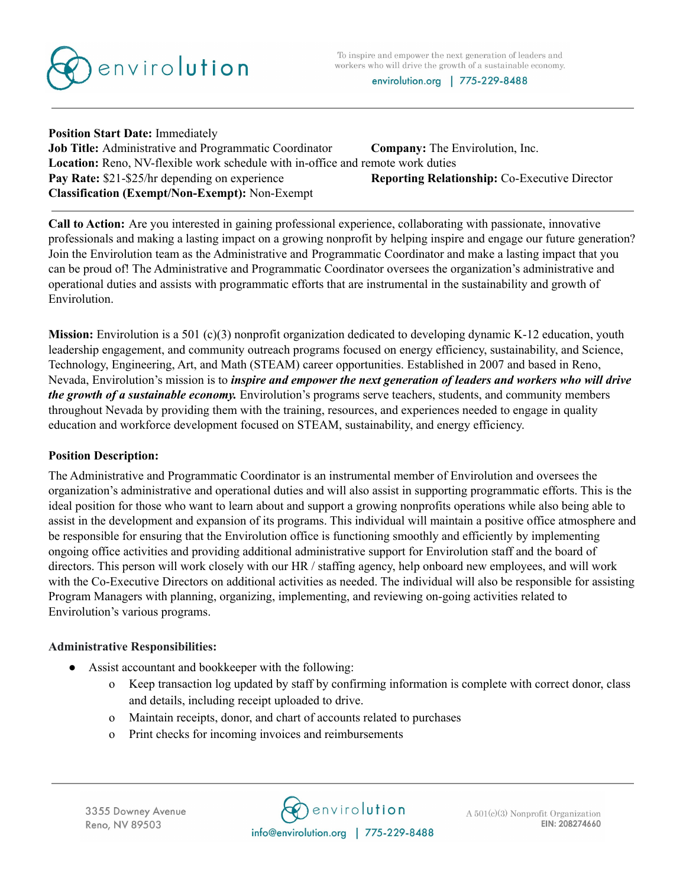

**Position Start Date:** Immediately **Job Title:** Administrative and Programmatic Coordinator **Company:** The Envirolution, Inc. **Location:** Reno, NV-flexible work schedule with in-office and remote work duties **Pay Rate:** \$21-\$25/hr depending on experience **Reporting Relationship:** Co-Executive Director **Classification (Exempt/Non-Exempt):** Non-Exempt

**Call to Action:** Are you interested in gaining professional experience, collaborating with passionate, innovative professionals and making a lasting impact on a growing nonprofit by helping inspire and engage our future generation? Join the Envirolution team as the Administrative and Programmatic Coordinator and make a lasting impact that you can be proud of! The Administrative and Programmatic Coordinator oversees the organization's administrative and operational duties and assists with programmatic efforts that are instrumental in the sustainability and growth of Envirolution.

**Mission:** Envirolution is a 501 (c)(3) nonprofit organization dedicated to developing dynamic K-12 education, youth leadership engagement, and community outreach programs focused on energy efficiency, sustainability, and Science, Technology, Engineering, Art, and Math (STEAM) career opportunities. Established in 2007 and based in Reno, Nevada, Envirolution's mission is to *inspire and empower the next generation of leaders and workers who will drive the growth of a sustainable economy.* Envirolution's programs serve teachers, students, and community members throughout Nevada by providing them with the training, resources, and experiences needed to engage in quality education and workforce development focused on STEAM, sustainability, and energy efficiency.

## **Position Description:**

The Administrative and Programmatic Coordinator is an instrumental member of Envirolution and oversees the organization's administrative and operational duties and will also assist in supporting programmatic efforts. This is the ideal position for those who want to learn about and support a growing nonprofits operations while also being able to assist in the development and expansion of its programs. This individual will maintain a positive office atmosphere and be responsible for ensuring that the Envirolution office is functioning smoothly and efficiently by implementing ongoing office activities and providing additional administrative support for Envirolution staff and the board of directors. This person will work closely with our HR / staffing agency, help onboard new employees, and will work with the Co-Executive Directors on additional activities as needed. The individual will also be responsible for assisting Program Managers with planning, organizing, implementing, and reviewing on-going activities related to Envirolution's various programs.

## **Administrative Responsibilities:**

- Assist accountant and bookkeeper with the following:
	- o Keep transaction log updated by staff by confirming information is complete with correct donor, class and details, including receipt uploaded to drive.
	- o Maintain receipts, donor, and chart of accounts related to purchases
	- o Print checks for incoming invoices and reimbursements

3355 Downey Avenue Reno, NV 89503

nenvirolution info@envirolution.org | 775-229-8488

 $A\ 501(c)(3)$  Nonprofit Organization EIN: 208274660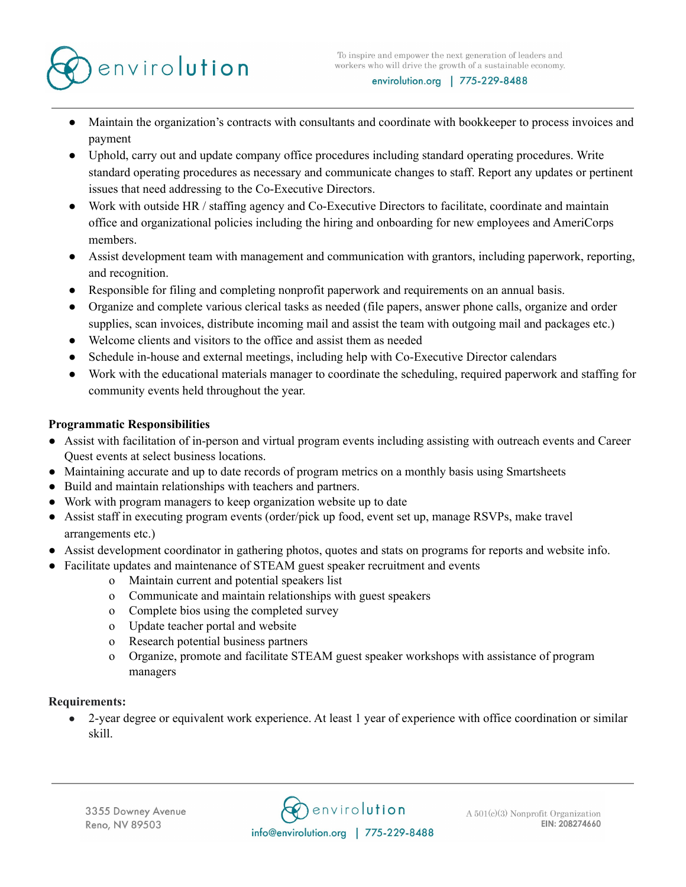

- Maintain the organization's contracts with consultants and coordinate with bookkeeper to process invoices and payment
- Uphold, carry out and update company office procedures including standard operating procedures. Write standard operating procedures as necessary and communicate changes to staff. Report any updates or pertinent issues that need addressing to the Co-Executive Directors.
- Work with outside HR / staffing agency and Co-Executive Directors to facilitate, coordinate and maintain office and organizational policies including the hiring and onboarding for new employees and AmeriCorps members.
- Assist development team with management and communication with grantors, including paperwork, reporting, and recognition.
- Responsible for filing and completing nonprofit paperwork and requirements on an annual basis.
- Organize and complete various clerical tasks as needed (file papers, answer phone calls, organize and order supplies, scan invoices, distribute incoming mail and assist the team with outgoing mail and packages etc.)
- Welcome clients and visitors to the office and assist them as needed
- Schedule in-house and external meetings, including help with Co-Executive Director calendars
- Work with the educational materials manager to coordinate the scheduling, required paperwork and staffing for community events held throughout the year.

## **Programmatic Responsibilities**

- Assist with facilitation of in-person and virtual program events including assisting with outreach events and Career Quest events at select business locations.
- Maintaining accurate and up to date records of program metrics on a monthly basis using Smartsheets
- Build and maintain relationships with teachers and partners.
- Work with program managers to keep organization website up to date
- Assist staff in executing program events (order/pick up food, event set up, manage RSVPs, make travel arrangements etc.)
- Assist development coordinator in gathering photos, quotes and stats on programs for reports and website info.
- Facilitate updates and maintenance of STEAM guest speaker recruitment and events
	- o Maintain current and potential speakers list
	- o Communicate and maintain relationships with guest speakers
	- o Complete bios using the completed survey
	- o Update teacher portal and website
	- o Research potential business partners
	- o Organize, promote and facilitate STEAM guest speaker workshops with assistance of program managers

## **Requirements:**

● 2-year degree or equivalent work experience. At least 1 year of experience with office coordination or similar skill.

**C**envirolution info@envirolution.org | 775-229-8488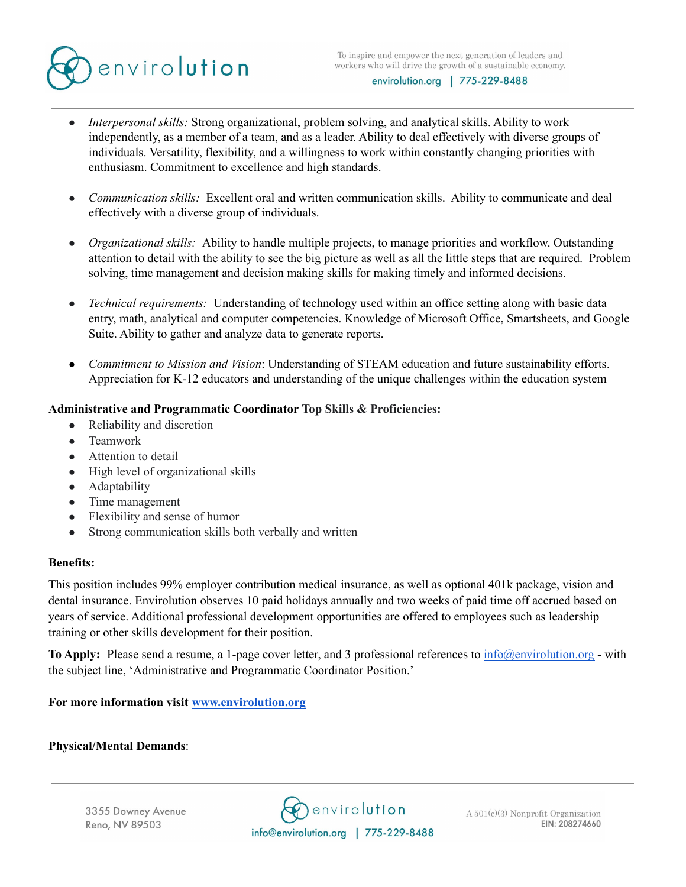

- *Interpersonal skills:* Strong organizational, problem solving, and analytical skills. Ability to work independently, as a member of a team, and as a leader. Ability to deal effectively with diverse groups of individuals. Versatility, flexibility, and a willingness to work within constantly changing priorities with enthusiasm. Commitment to excellence and high standards.
- *Communication skills:* Excellent oral and written communication skills. Ability to communicate and deal effectively with a diverse group of individuals.
- *Organizational skills:* Ability to handle multiple projects, to manage priorities and workflow. Outstanding attention to detail with the ability to see the big picture as well as all the little steps that are required. Problem solving, time management and decision making skills for making timely and informed decisions.
- *Technical requirements:* Understanding of technology used within an office setting along with basic data entry, math, analytical and computer competencies. Knowledge of Microsoft Office, Smartsheets, and Google Suite. Ability to gather and analyze data to generate reports.
- *Commitment to Mission and Vision*: Understanding of STEAM education and future sustainability efforts. Appreciation for K-12 educators and understanding of the unique challenges within the education system

# **Administrative and Programmatic Coordinator Top Skills & Proficiencies:**

- Reliability and discretion
- Teamwork
- Attention to detail
- High level of organizational skills
- Adaptability
- Time management
- Flexibility and sense of humor
- Strong communication skills both verbally and written

## **Benefits:**

This position includes 99% employer contribution medical insurance, as well as optional 401k package, vision and dental insurance. Envirolution observes 10 paid holidays annually and two weeks of paid time off accrued based on years of service. Additional professional development opportunities are offered to employees such as leadership training or other skills development for their position.

**To Apply:** Please send a resume, a 1-page cover letter, and 3 professional references to [info@envirolution.org](mailto:info@envirolution.org) - with the subject line, 'Administrative and Programmatic Coordinator Position.'

**For more information visit [www.envirolution.org](http://www.envirolution.org)**

## **Physical/Mental Demands**:

3355 Downey Avenue Reno, NV 89503